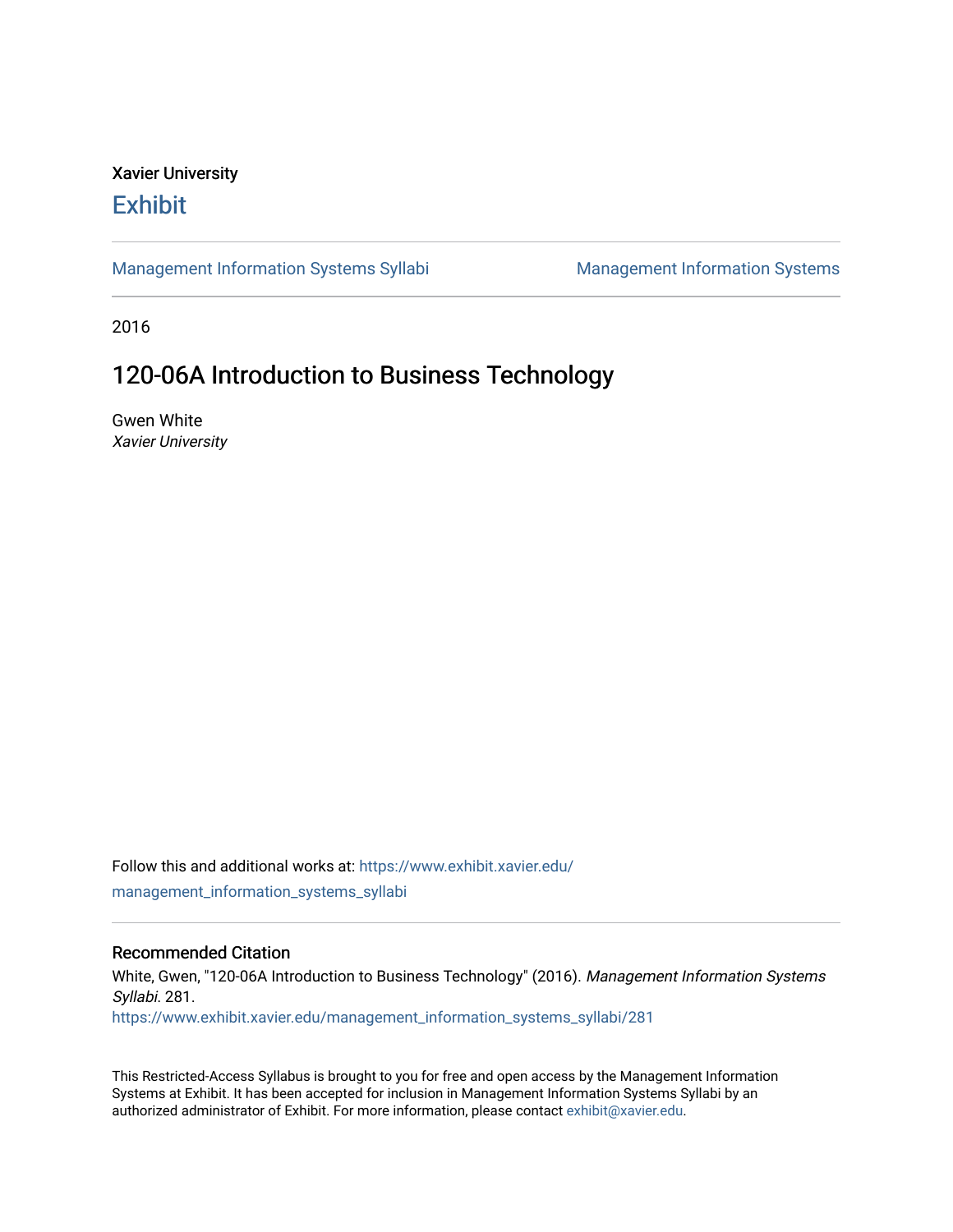## Xavier University **Exhibit**

[Management Information Systems Syllabi](https://www.exhibit.xavier.edu/management_information_systems_syllabi) Management Information Systems

2016

# 120-06A Introduction to Business Technology

Gwen White Xavier University

Follow this and additional works at: [https://www.exhibit.xavier.edu/](https://www.exhibit.xavier.edu/management_information_systems_syllabi?utm_source=www.exhibit.xavier.edu%2Fmanagement_information_systems_syllabi%2F281&utm_medium=PDF&utm_campaign=PDFCoverPages) [management\\_information\\_systems\\_syllabi](https://www.exhibit.xavier.edu/management_information_systems_syllabi?utm_source=www.exhibit.xavier.edu%2Fmanagement_information_systems_syllabi%2F281&utm_medium=PDF&utm_campaign=PDFCoverPages) 

#### Recommended Citation

White, Gwen, "120-06A Introduction to Business Technology" (2016). Management Information Systems Syllabi. 281. [https://www.exhibit.xavier.edu/management\\_information\\_systems\\_syllabi/281](https://www.exhibit.xavier.edu/management_information_systems_syllabi/281?utm_source=www.exhibit.xavier.edu%2Fmanagement_information_systems_syllabi%2F281&utm_medium=PDF&utm_campaign=PDFCoverPages) 

This Restricted-Access Syllabus is brought to you for free and open access by the Management Information Systems at Exhibit. It has been accepted for inclusion in Management Information Systems Syllabi by an authorized administrator of Exhibit. For more information, please contact [exhibit@xavier.edu](mailto:exhibit@xavier.edu).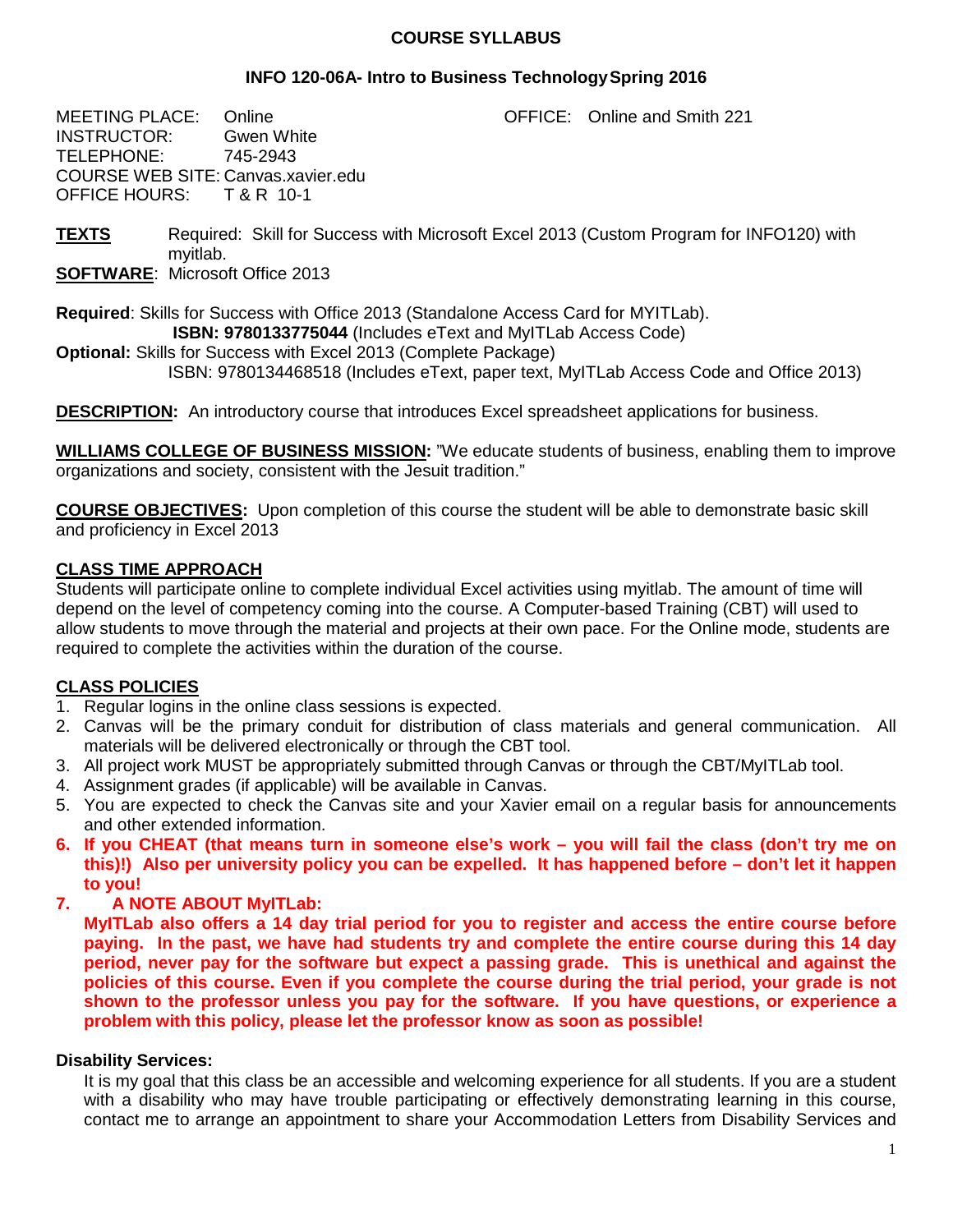#### **COURSE SYLLABUS**

#### **INFO 120-06A- Intro to Business TechnologySpring 2016**

MEETING PLACE: Online **CELL CONFICE:** Online and Smith 221 INSTRUCTOR: Gwen White<br>TELEPHONE: 745-2943 TELEPHONE: COURSE WEB SITE: Canvas.xavier.edu OFFICE HOURS: T & R 10-1

**TEXTS** Required: Skill for Success with Microsoft Excel 2013 (Custom Program for INFO120) with myitlab.

**SOFTWARE**: Microsoft Office 2013

**Required**: Skills for Success with Office 2013 (Standalone Access Card for MYITLab). **ISBN: 9780133775044** (Includes eText and MyITLab Access Code)

**Optional:** Skills for Success with Excel 2013 (Complete Package) ISBN: 9780134468518 (Includes eText, paper text, MyITLab Access Code and Office 2013)

**DESCRIPTION:** An introductory course that introduces Excel spreadsheet applications for business.

**WILLIAMS COLLEGE OF BUSINESS MISSION:** "We educate students of business, enabling them to improve organizations and society, consistent with the Jesuit tradition."

**COURSE OBJECTIVES:** Upon completion of this course the student will be able to demonstrate basic skill and proficiency in Excel 2013

## **CLASS TIME APPROACH**

Students will participate online to complete individual Excel activities using myitlab. The amount of time will depend on the level of competency coming into the course. A Computer-based Training (CBT) will used to allow students to move through the material and projects at their own pace. For the Online mode, students are required to complete the activities within the duration of the course.

## **CLASS POLICIES**

- 1. Regular logins in the online class sessions is expected.
- 2. Canvas will be the primary conduit for distribution of class materials and general communication. All materials will be delivered electronically or through the CBT tool.
- 3. All project work MUST be appropriately submitted through Canvas or through the CBT/MyITLab tool.
- 4. Assignment grades (if applicable) will be available in Canvas.
- 5. You are expected to check the Canvas site and your Xavier email on a regular basis for announcements and other extended information.
- **6. If you CHEAT (that means turn in someone else's work – you will fail the class (don't try me on this)!) Also per university policy you can be expelled. It has happened before – don't let it happen to you!**
- **7. A NOTE ABOUT MyITLab:**

**MyITLab also offers a 14 day trial period for you to register and access the entire course before paying. In the past, we have had students try and complete the entire course during this 14 day period, never pay for the software but expect a passing grade. This is unethical and against the policies of this course. Even if you complete the course during the trial period, your grade is not shown to the professor unless you pay for the software. If you have questions, or experience a problem with this policy, please let the professor know as soon as possible!**

#### **Disability Services:**

It is my goal that this class be an accessible and welcoming experience for all students. If you are a student with a disability who may have trouble participating or effectively demonstrating learning in this course, contact me to arrange an appointment to share your Accommodation Letters from Disability Services and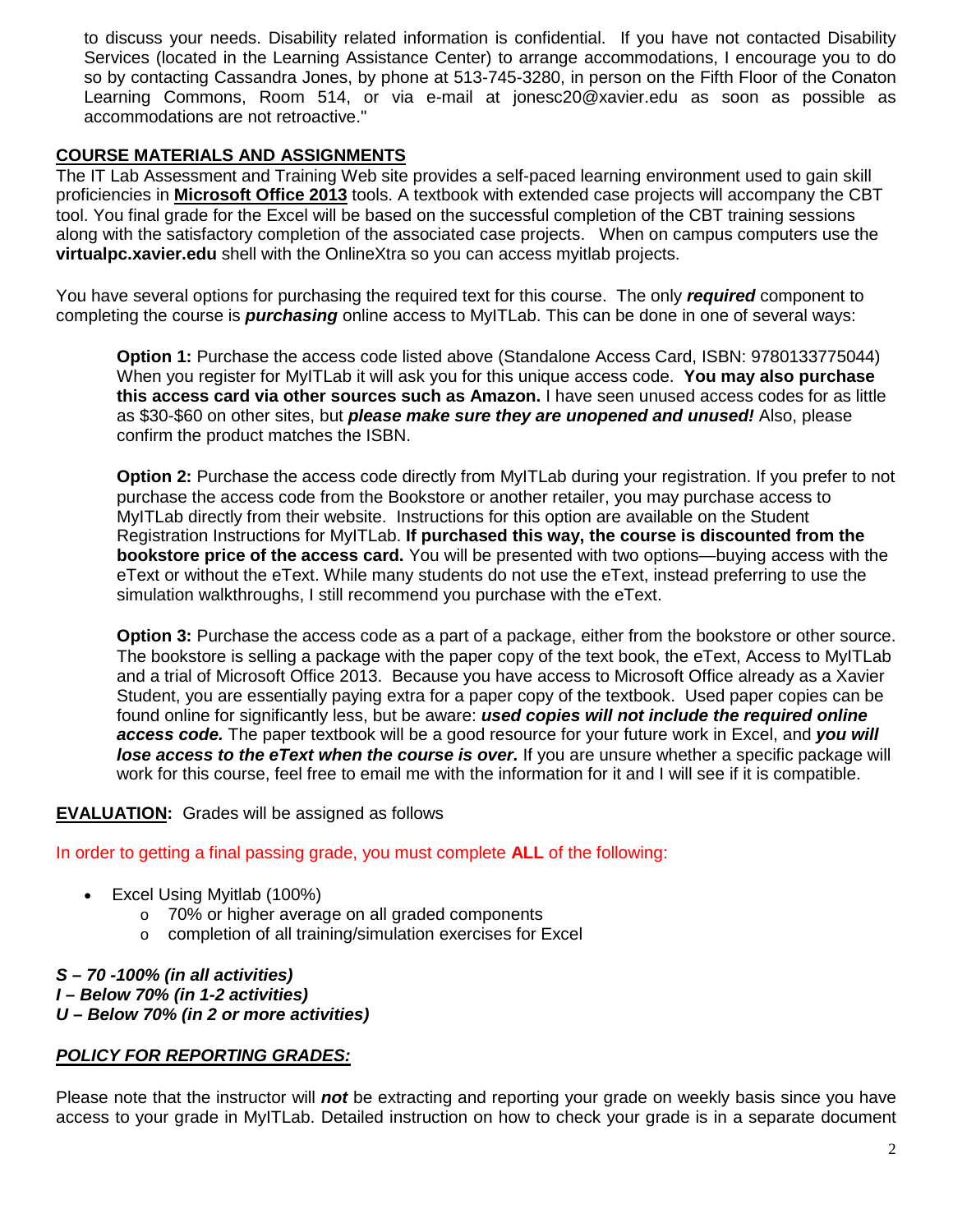to discuss your needs. Disability related information is confidential. If you have not contacted Disability Services (located in the Learning Assistance Center) to arrange accommodations, I encourage you to do so by contacting Cassandra Jones, by phone at 513-745-3280, in person on the Fifth Floor of the Conaton Learning Commons, Room 514, or via e-mail at jonesc20@xavier.edu as soon as possible as accommodations are not retroactive."

### **COURSE MATERIALS AND ASSIGNMENTS**

The IT Lab Assessment and Training Web site provides a self-paced learning environment used to gain skill proficiencies in **Microsoft Office 2013** tools. A textbook with extended case projects will accompany the CBT tool. You final grade for the Excel will be based on the successful completion of the CBT training sessions along with the satisfactory completion of the associated case projects. When on campus computers use the **virtualpc.xavier.edu** shell with the OnlineXtra so you can access myitlab projects.

You have several options for purchasing the required text for this course. The only *required* component to completing the course is *purchasing* online access to MyITLab. This can be done in one of several ways:

**Option 1:** Purchase the access code listed above (Standalone Access Card, ISBN: 9780133775044) When you register for MyITLab it will ask you for this unique access code. **You may also purchase this access card via other sources such as Amazon.** I have seen unused access codes for as little as \$30-\$60 on other sites, but *please make sure they are unopened and unused!* Also, please confirm the product matches the ISBN.

**Option 2:** Purchase the access code directly from MyITLab during your registration. If you prefer to not purchase the access code from the Bookstore or another retailer, you may purchase access to MyITLab directly from their website. Instructions for this option are available on the Student Registration Instructions for MyITLab. **If purchased this way, the course is discounted from the bookstore price of the access card.** You will be presented with two options—buying access with the eText or without the eText. While many students do not use the eText, instead preferring to use the simulation walkthroughs, I still recommend you purchase with the eText.

**Option 3:** Purchase the access code as a part of a package, either from the bookstore or other source. The bookstore is selling a package with the paper copy of the text book, the eText, Access to MyITLab and a trial of Microsoft Office 2013. Because you have access to Microsoft Office already as a Xavier Student, you are essentially paying extra for a paper copy of the textbook. Used paper copies can be found online for significantly less, but be aware: *used copies will not include the required online access code.* The paper textbook will be a good resource for your future work in Excel, and *you will*  **lose access to the eText when the course is over.** If you are unsure whether a specific package will work for this course, feel free to email me with the information for it and I will see if it is compatible.

## **EVALUATION:** Grades will be assigned as follows

In order to getting a final passing grade, you must complete **ALL** of the following:

- Excel Using Myitlab (100%)
	- o 70% or higher average on all graded components
	- o completion of all training/simulation exercises for Excel

#### *S – 70 -100% (in all activities) I – Below 70% (in 1-2 activities) U – Below 70% (in 2 or more activities)*

## *POLICY FOR REPORTING GRADES:*

Please note that the instructor will *not* be extracting and reporting your grade on weekly basis since you have access to your grade in MyITLab. Detailed instruction on how to check your grade is in a separate document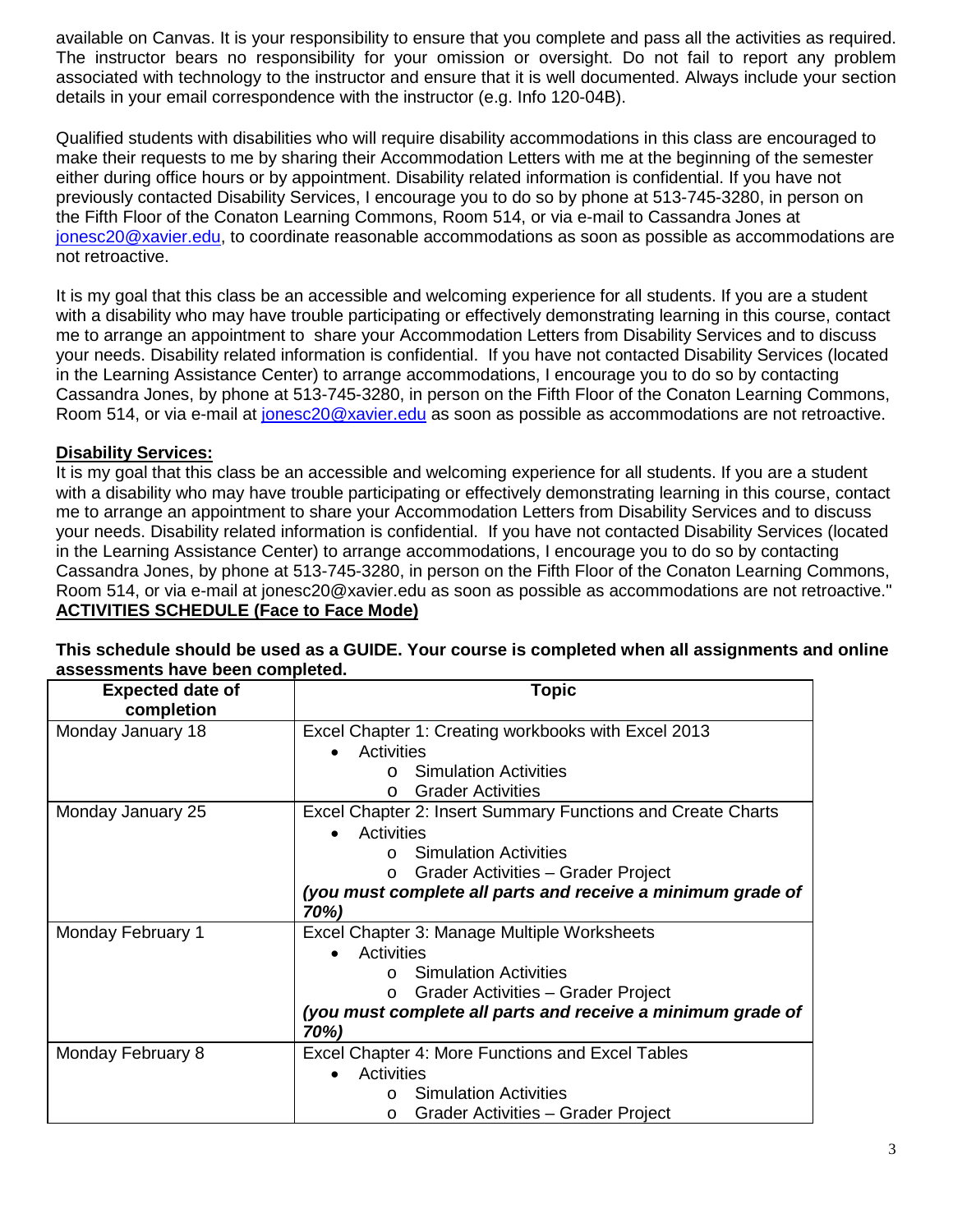available on Canvas. It is your responsibility to ensure that you complete and pass all the activities as required. The instructor bears no responsibility for your omission or oversight. Do not fail to report any problem associated with technology to the instructor and ensure that it is well documented. Always include your section details in your email correspondence with the instructor (e.g. Info 120-04B).

Qualified students with disabilities who will require disability accommodations in this class are encouraged to make their requests to me by sharing their Accommodation Letters with me at the beginning of the semester either during office hours or by appointment. Disability related information is confidential. If you have not previously contacted Disability Services, I encourage you to do so by phone at 513-745-3280, in person on the Fifth Floor of the Conaton Learning Commons, Room 514, or via e-mail to Cassandra Jones at [jonesc20@xavier.edu,](mailto:jonesc20@xavier.edu) to coordinate reasonable accommodations as soon as possible as accommodations are not retroactive.

It is my goal that this class be an accessible and welcoming experience for all students. If you are a student with a disability who may have trouble participating or effectively demonstrating learning in this course, contact me to arrange an appointment to share your Accommodation Letters from Disability Services and to discuss your needs. Disability related information is confidential. If you have not contacted Disability Services (located in the Learning Assistance Center) to arrange accommodations, I encourage you to do so by contacting Cassandra Jones, by phone at 513-745-3280, in person on the Fifth Floor of the Conaton Learning Commons, Room 514, or via e-mail at [jonesc20@xavier.edu](mailto:jonesc20@xavier.edu) as soon as possible as accommodations are not retroactive.

### **Disability Services:**

It is my goal that this class be an accessible and welcoming experience for all students. If you are a student with a disability who may have trouble participating or effectively demonstrating learning in this course, contact me to arrange an appointment to share your Accommodation Letters from Disability Services and to discuss your needs. Disability related information is confidential. If you have not contacted Disability Services (located in the Learning Assistance Center) to arrange accommodations, I encourage you to do so by contacting Cassandra Jones, by phone at 513-745-3280, in person on the Fifth Floor of the Conaton Learning Commons, Room 514, or via e-mail at jonesc20@xavier.edu as soon as possible as accommodations are not retroactive." **ACTIVITIES SCHEDULE (Face to Face Mode)**

| <b>Expected date of</b><br>completion | Topic                                                               |
|---------------------------------------|---------------------------------------------------------------------|
| Monday January 18                     | Excel Chapter 1: Creating workbooks with Excel 2013                 |
|                                       | Activities                                                          |
|                                       | <b>Simulation Activities</b><br>$\cap$                              |
|                                       | <b>Grader Activities</b>                                            |
| Monday January 25                     | Excel Chapter 2: Insert Summary Functions and Create Charts         |
|                                       | Activities                                                          |
|                                       | <b>Simulation Activities</b><br>$\cap$                              |
|                                       | Grader Activities – Grader Project<br>$\circ$                       |
|                                       | (you must complete all parts and receive a minimum grade of         |
|                                       | 70%)                                                                |
| Monday February 1                     | Excel Chapter 3: Manage Multiple Worksheets                         |
|                                       | Activities                                                          |
|                                       | <b>Simulation Activities</b><br>$\cap$                              |
|                                       | Grader Activities - Grader Project<br>$\circ$                       |
|                                       | (you must complete all parts and receive a minimum grade of<br>70%) |
| Monday February 8                     | Excel Chapter 4: More Functions and Excel Tables                    |
|                                       | Activities                                                          |
|                                       | <b>Simulation Activities</b><br>$\Omega$                            |
|                                       | Grader Activities – Grader Project<br>$\circ$                       |

#### **This schedule should be used as a GUIDE. Your course is completed when all assignments and online assessments have been completed.**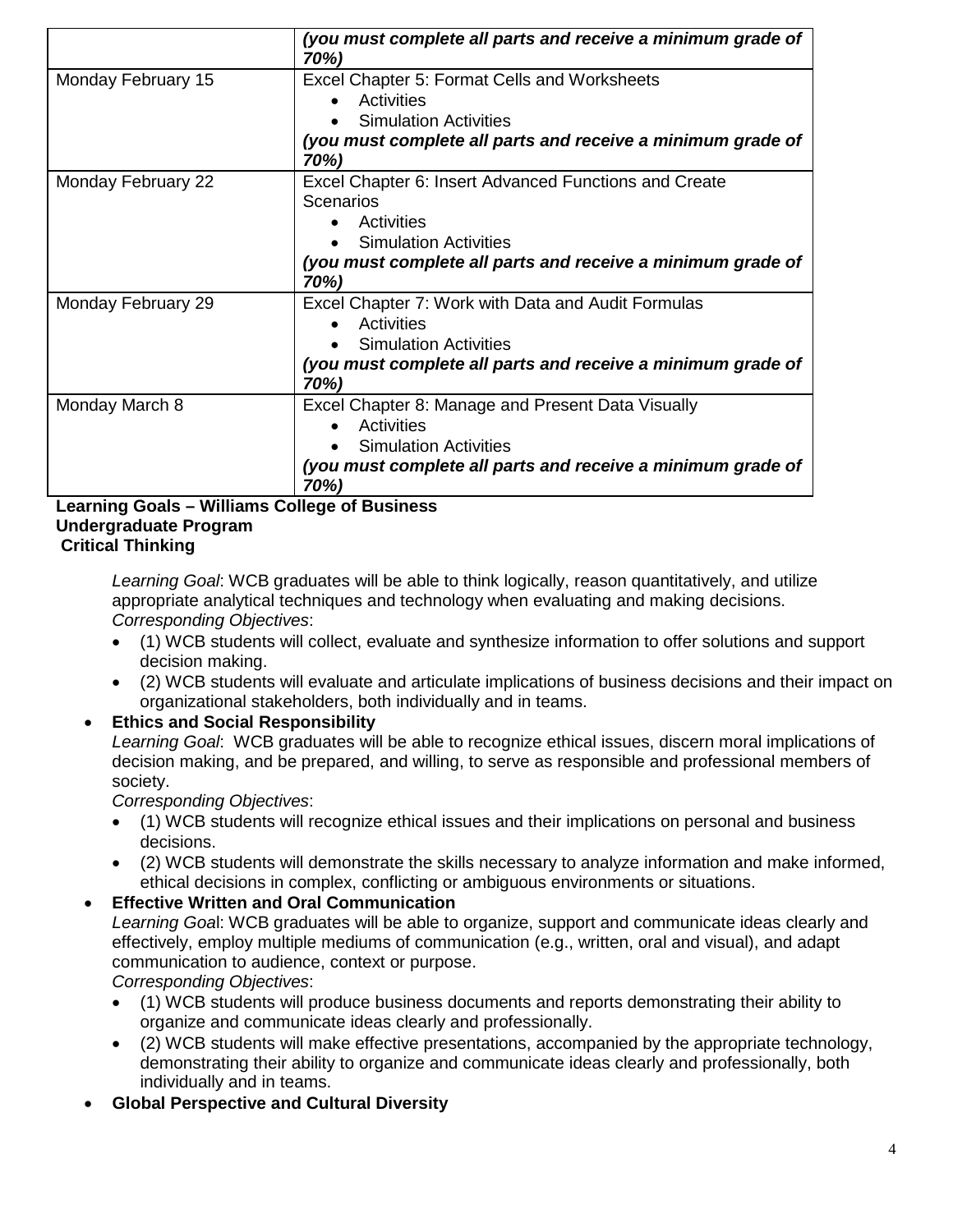|                    | (you must complete all parts and receive a minimum grade of<br>70%) |
|--------------------|---------------------------------------------------------------------|
| Monday February 15 | Excel Chapter 5: Format Cells and Worksheets                        |
|                    | Activities                                                          |
|                    | <b>Simulation Activities</b>                                        |
|                    | (you must complete all parts and receive a minimum grade of<br>70%) |
| Monday February 22 | Excel Chapter 6: Insert Advanced Functions and Create               |
|                    | <b>Scenarios</b>                                                    |
|                    | Activities                                                          |
|                    | <b>Simulation Activities</b>                                        |
|                    | (you must complete all parts and receive a minimum grade of<br>70%) |
| Monday February 29 | Excel Chapter 7: Work with Data and Audit Formulas                  |
|                    | Activities                                                          |
|                    | <b>Simulation Activities</b>                                        |
|                    | (you must complete all parts and receive a minimum grade of<br>70%) |
| Monday March 8     | Excel Chapter 8: Manage and Present Data Visually                   |
|                    | Activities                                                          |
|                    | <b>Simulation Activities</b>                                        |
|                    | (you must complete all parts and receive a minimum grade of<br>70%) |

#### **Learning Goals – Williams College of Business Undergraduate Program Critical Thinking**

*Learning Goal*: WCB graduates will be able to think logically, reason quantitatively, and utilize appropriate analytical techniques and technology when evaluating and making decisions. *Corresponding Objectives*:

- (1) WCB students will collect, evaluate and synthesize information to offer solutions and support decision making.
- (2) WCB students will evaluate and articulate implications of business decisions and their impact on organizational stakeholders, both individually and in teams.

• **Ethics and Social Responsibility** *Learning Goal*: WCB graduates will be able to recognize ethical issues, discern moral implications of decision making, and be prepared, and willing, to serve as responsible and professional members of society.

*Corresponding Objectives*:

- (1) WCB students will recognize ethical issues and their implications on personal and business decisions.
- (2) WCB students will demonstrate the skills necessary to analyze information and make informed, ethical decisions in complex, conflicting or ambiguous environments or situations.

## • **Effective Written and Oral Communication**

*Learning Goa*l: WCB graduates will be able to organize, support and communicate ideas clearly and effectively, employ multiple mediums of communication (e.g., written, oral and visual), and adapt communication to audience, context or purpose.

*Corresponding Objectives*:

- (1) WCB students will produce business documents and reports demonstrating their ability to organize and communicate ideas clearly and professionally.
- (2) WCB students will make effective presentations, accompanied by the appropriate technology, demonstrating their ability to organize and communicate ideas clearly and professionally, both individually and in teams.
- **Global Perspective and Cultural Diversity**